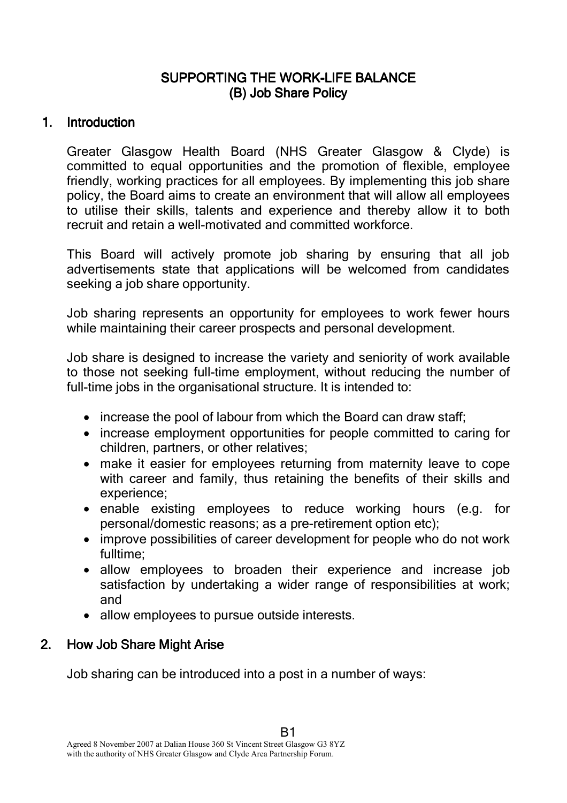## SUPPORTING THE WORK-LIFE BALANCE (B) Job Share Policy (B) Job

## 1. Introduction

Greater Glasgow Health Board (NHS Greater Glasgow & Clyde) is committed to equal opportunities and the promotion of flexible, employee friendly, working practices for all employees. By implementing this job share policy, the Board aims to create an environment that will allow all employees to utilise their skills, talents and experience and thereby allow it to both recruit and retain a well-motivated and committed workforce.

This Board will actively promote job sharing by ensuring that all job advertisements state that applications will be welcomed from candidates seeking a job share opportunity.

Job sharing represents an opportunity for employees to work fewer hours while maintaining their career prospects and personal development.

Job share is designed to increase the variety and seniority of work available to those not seeking full-time employment, without reducing the number of full-time jobs in the organisational structure. It is intended to:

- increase the pool of labour from which the Board can draw staff;
- increase employment opportunities for people committed to caring for children, partners, or other relatives;
- make it easier for employees returning from maternity leave to cope with career and family, thus retaining the benefits of their skills and experience;
- enable existing employees to reduce working hours (e.g. for personal/domestic reasons; as a pre-retirement option etc);
- improve possibilities of career development for people who do not work fulltime;
- allow employees to broaden their experience and increase job satisfaction by undertaking a wider range of responsibilities at work; and
- allow employees to pursue outside interests.

## 2. How Job Share Might Arise

Job sharing can be introduced into a post in a number of ways: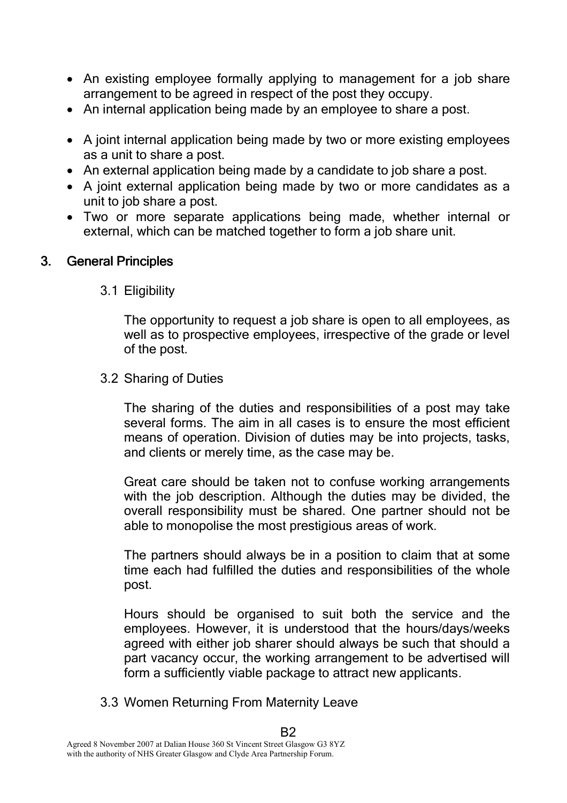- An existing employee formally applying to management for a job share arrangement to be agreed in respect of the post they occupy.
- An internal application being made by an employee to share a post.
- A joint internal application being made by two or more existing employees as a unit to share a post.
- An external application being made by a candidate to job share a post.
- A joint external application being made by two or more candidates as a unit to job share a post.
- Two or more separate applications being made, whether internal or external, which can be matched together to form a job share unit.

# 3. General Principles

## 3.1 Eligibility

The opportunity to request a job share is open to all employees, as well as to prospective employees, irrespective of the grade or level of the post.

## 3.2 Sharing of Duties

The sharing of the duties and responsibilities of a post may take several forms. The aim in all cases is to ensure the most efficient means of operation. Division of duties may be into projects, tasks, and clients or merely time, as the case may be.

Great care should be taken not to confuse working arrangements with the job description. Although the duties may be divided, the overall responsibility must be shared. One partner should not be able to monopolise the most prestigious areas of work.

The partners should always be in a position to claim that at some time each had fulfilled the duties and responsibilities of the whole post.

Hours should be organised to suit both the service and the employees. However, it is understood that the hours/days/weeks agreed with either job sharer should always be such that should a part vacancy occur, the working arrangement to be advertised will form a sufficiently viable package to attract new applicants.

3.3 Women Returning From Maternity Leave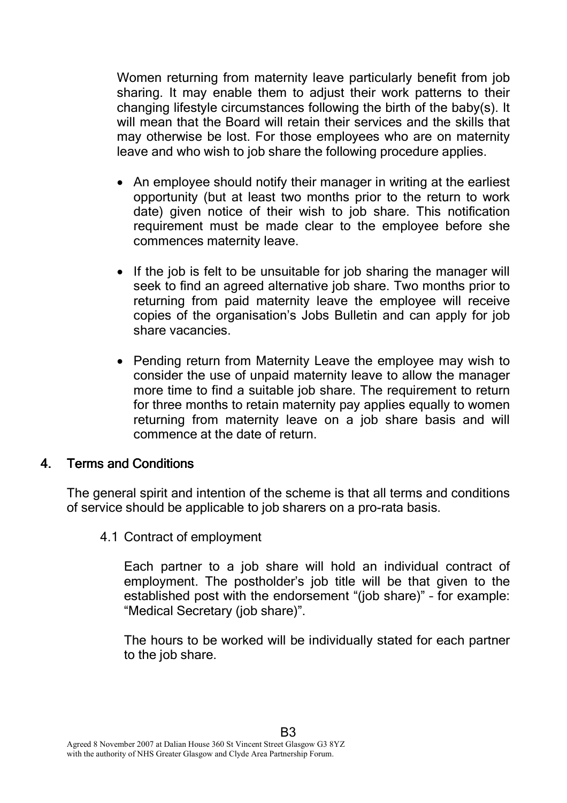Women returning from maternity leave particularly benefit from job sharing. It may enable them to adjust their work patterns to their changing lifestyle circumstances following the birth of the baby(s). It will mean that the Board will retain their services and the skills that may otherwise be lost. For those employees who are on maternity leave and who wish to job share the following procedure applies.

- An employee should notify their manager in writing at the earliest opportunity (but at least two months prior to the return to work date) given notice of their wish to job share. This notification requirement must be made clear to the employee before she commences maternity leave.
- If the job is felt to be unsuitable for job sharing the manager will seek to find an agreed alternative job share. Two months prior to returning from paid maternity leave the employee will receive copies of the organisation's Jobs Bulletin and can apply for job share vacancies.
- Pending return from Maternity Leave the employee may wish to consider the use of unpaid maternity leave to allow the manager more time to find a suitable job share. The requirement to return for three months to retain maternity pay applies equally to women returning from maternity leave on a job share basis and will commence at the date of return.

## 4. Terms and Conditions

The general spirit and intention of the scheme is that all terms and conditions of service should be applicable to job sharers on a pro-rata basis.

4.1 Contract of employment

Each partner to a job share will hold an individual contract of employment. The postholder's job title will be that given to the established post with the endorsement "(job share)" – for example: "Medical Secretary (job share)".

The hours to be worked will be individually stated for each partner to the job share.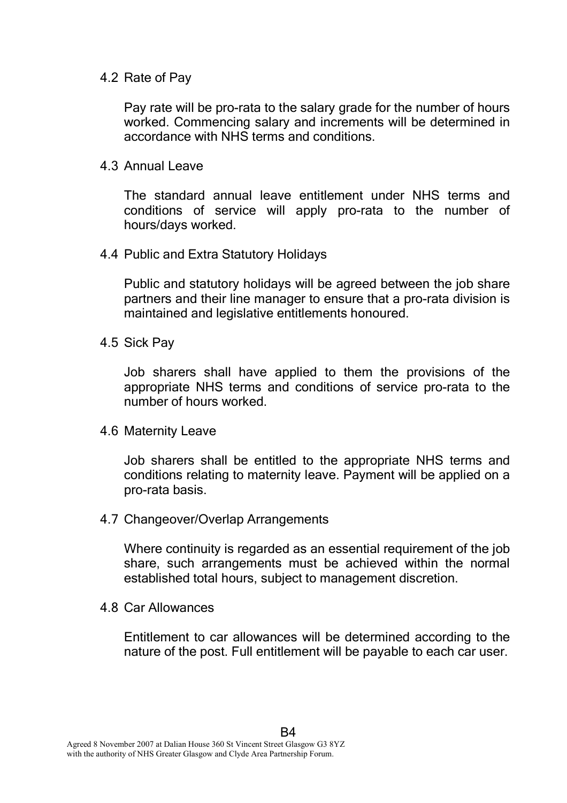#### 4.2 Rate of Pay

Pay rate will be pro-rata to the salary grade for the number of hours worked. Commencing salary and increments will be determined in accordance with NHS terms and conditions.

4.3 Annual Leave

The standard annual leave entitlement under NHS terms and conditions of service will apply pro-rata to the number of hours/days worked.

4.4 Public and Extra Statutory Holidays

Public and statutory holidays will be agreed between the job share partners and their line manager to ensure that a pro-rata division is maintained and legislative entitlements honoured.

4.5 Sick Pay

Job sharers shall have applied to them the provisions of the appropriate NHS terms and conditions of service pro-rata to the number of hours worked.

4.6 Maternity Leave

Job sharers shall be entitled to the appropriate NHS terms and conditions relating to maternity leave. Payment will be applied on a pro-rata basis.

4.7 Changeover/Overlap Arrangements

Where continuity is regarded as an essential requirement of the job share, such arrangements must be achieved within the normal established total hours, subject to management discretion.

4.8 Car Allowances

Entitlement to car allowances will be determined according to the nature of the post. Full entitlement will be payable to each car user.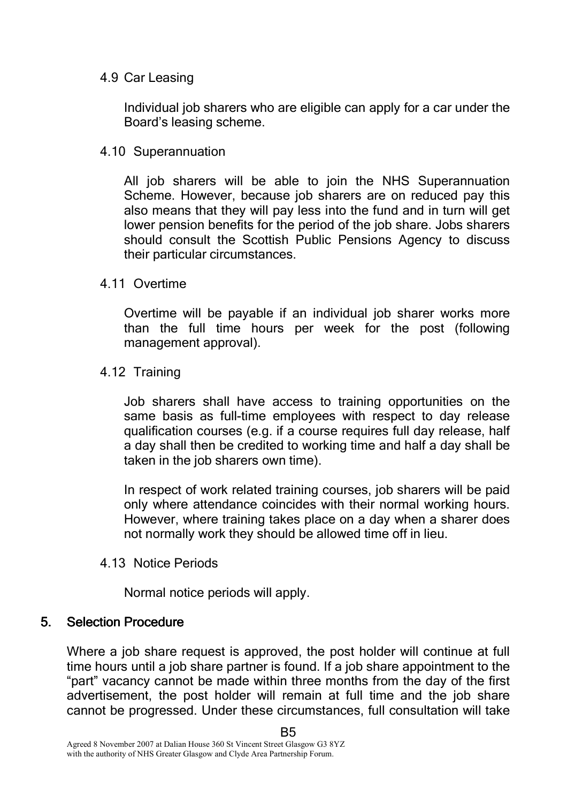#### 4.9 Car Leasing

Individual job sharers who are eligible can apply for a car under the Board's leasing scheme.

4.10 Superannuation

All job sharers will be able to join the NHS Superannuation Scheme. However, because job sharers are on reduced pay this also means that they will pay less into the fund and in turn will get lower pension benefits for the period of the job share. Jobs sharers should consult the Scottish Public Pensions Agency to discuss their particular circumstances.

#### 4.11 Overtime

Overtime will be payable if an individual job sharer works more than the full time hours per week for the post (following management approval).

## 4.12 Training

Job sharers shall have access to training opportunities on the same basis as full-time employees with respect to day release qualification courses (e.g. if a course requires full day release, half a day shall then be credited to working time and half a day shall be taken in the job sharers own time).

In respect of work related training courses, job sharers will be paid only where attendance coincides with their normal working hours. However, where training takes place on a day when a sharer does not normally work they should be allowed time off in lieu.

## 4.13 Notice Periods

Normal notice periods will apply.

## 5. Selection Procedure

Where a job share request is approved, the post holder will continue at full time hours until a job share partner is found. If a job share appointment to the "part" vacancy cannot be made within three months from the day of the first advertisement, the post holder will remain at full time and the job share cannot be progressed. Under these circumstances, full consultation will take

B5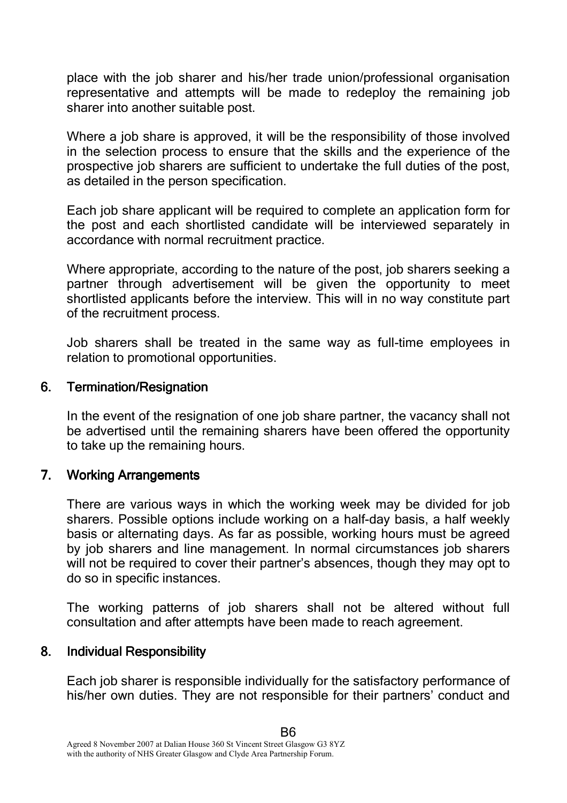place with the job sharer and his/her trade union/professional organisation representative and attempts will be made to redeploy the remaining job sharer into another suitable post.

Where a job share is approved, it will be the responsibility of those involved in the selection process to ensure that the skills and the experience of the prospective job sharers are sufficient to undertake the full duties of the post, as detailed in the person specification.

Each job share applicant will be required to complete an application form for the post and each shortlisted candidate will be interviewed separately in accordance with normal recruitment practice.

Where appropriate, according to the nature of the post, job sharers seeking a partner through advertisement will be given the opportunity to meet shortlisted applicants before the interview. This will in no way constitute part of the recruitment process.

Job sharers shall be treated in the same way as full-time employees in relation to promotional opportunities.

## 6. Termination/Resignation

In the event of the resignation of one job share partner, the vacancy shall not be advertised until the remaining sharers have been offered the opportunity to take up the remaining hours.

## 7. Working Arrangements

There are various ways in which the working week may be divided for job sharers. Possible options include working on a half-day basis, a half weekly basis or alternating days. As far as possible, working hours must be agreed by job sharers and line management. In normal circumstances job sharers will not be required to cover their partner's absences, though they may opt to do so in specific instances.

The working patterns of job sharers shall not be altered without full consultation and after attempts have been made to reach agreement.

## 8. Individual Responsibility

Each job sharer is responsible individually for the satisfactory performance of his/her own duties. They are not responsible for their partners' conduct and

B6